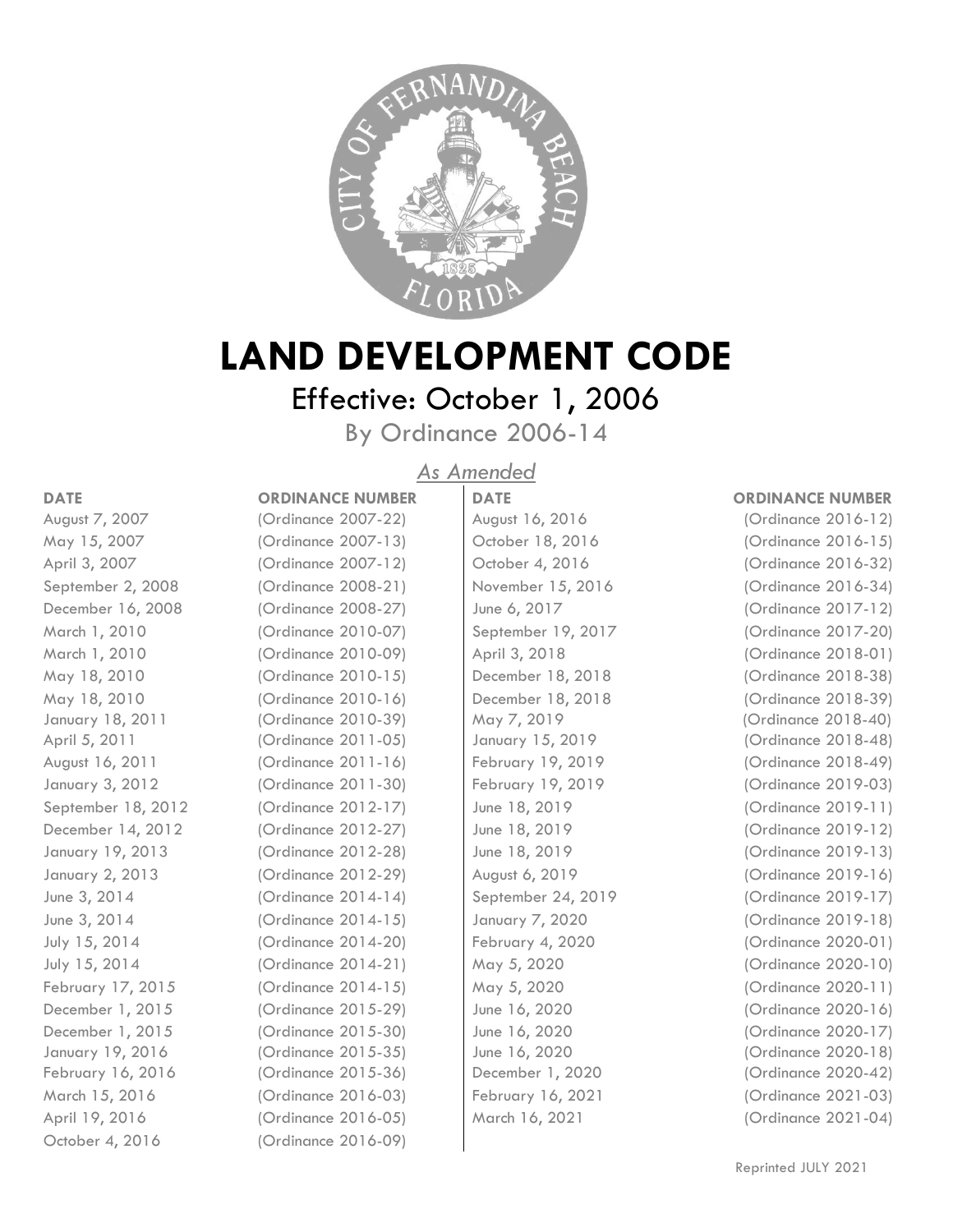

# **LAND DEVELOPMENT CODE**

# Effective: October 1, 2006

By Ordinance 2006-14

## *As Amended*

October 4, 2016 (Ordinance 2016-09)

### **DATE ORDINANCE NUMBER DATE ORDINANCE NUMBER** August 7, 2007 (Ordinance 2007-22) August 16, 2016 (Ordinance 2016-12) May 15, 2007 (Ordinance 2007-13) October 18, 2016 (Ordinance 2016-15) April 3, 2007 (Ordinance 2007-12) Cortober 4, 2016 (Ordinance 2016-32) September 2, 2008 (Ordinance 2008-21) November 15, 2016 (Ordinance 2016-34) December 16, 2008 (Ordinance 2008-27) June 6, 2017 (Ordinance 2017-12) March 1, 2010 (Ordinance 2010-07) September 19, 2017 (Ordinance 2017-20) March 1, 2010 (Ordinance 2010-09) April 3, 2018 (Ordinance 2018-01) May 18, 2010 (Ordinance 2010-15) December 18, 2018 (Ordinance 2018-38) May 18, 2010 (Ordinance 2010-16) December 18, 2018 (Ordinance 2018-39) January 18, 2011 (Ordinance 2010-39) May 7, 2019 (Ordinance 2018-40) April 5, 2011 (Ordinance 2011-05) January 15, 2019 (Ordinance 2018-48) August 16, 2011 (Ordinance 2011-16) February 19, 2019 (Ordinance 2018-49) January 3, 2012 (Ordinance 2011-30) February 19, 2019 (Ordinance 2019-03) September 18, 2012 (Ordinance 2012-17) June 18, 2019 (Ordinance 2019-11) December 14, 2012 (Ordinance 2012-27) June 18, 2019 (Ordinance 2019-12) January 19, 2013 (Ordinance 2012-28) June 18, 2019 (Ordinance 2019-13) January 2, 2013 (Ordinance 2012-29) August 6, 2019 (Ordinance 2019-16) June 3, 2014 (Ordinance 2014-14) September 24, 2019 (Ordinance 2019-17) June 3, 2014 (Ordinance 2014-15) January 7, 2020 (Ordinance 2019-18) July 15, 2014 (Ordinance 2014-20) February 4, 2020 (Ordinance 2020-01) July 15, 2014 (Ordinance 2014-21) May 5, 2020 (Ordinance 2020-10) February 17, 2015 (Ordinance 2014-15) May 5, 2020 (Ordinance 2020-11) December 1, 2015 (Ordinance 2015-29) June 16, 2020 (Ordinance 2020-16) December 1, 2015 (Ordinance 2015-30) June 16, 2020 (Ordinance 2020-17) January 19, 2016 (Ordinance 2015-35) June 16, 2020 (Ordinance 2020-18) February 16, 2016 (Ordinance 2015-36) December 1, 2020 (Ordinance 2020-42) March 15, 2016 (Ordinance 2016-03) February 16, 2021 (Ordinance 2021-03) April 19, 2016 (Ordinance 2016-05) March 16, 2021 (Ordinance 2021-04)